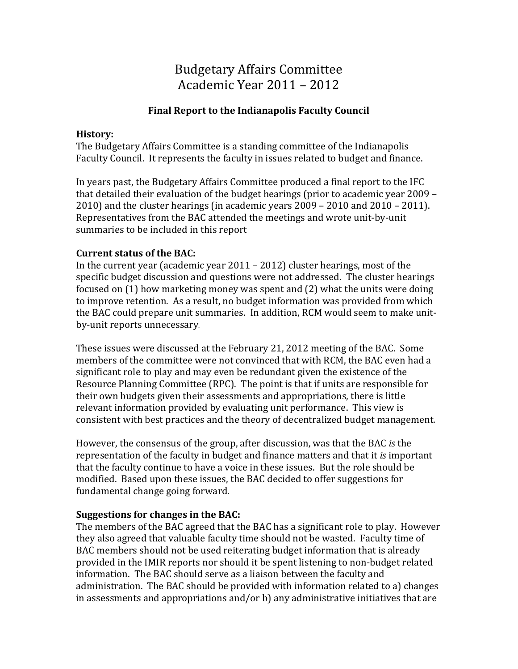# Budgetary Affairs Committee Academic Year 2011 – 2012

## **Final Report to the Indianapolis Faculty Council**

#### **History:**

The Budgetary Affairs Committee is a standing committee of the Indianapolis Faculty Council. It represents the faculty in issues related to budget and finance.

In years past, the Budgetary Affairs Committee produced a final report to the IFC that detailed their evaluation of the budget hearings (prior to academic year 2009 – 2010) and the cluster hearings (in academic years 2009 – 2010 and 2010 – 2011). Representatives from the BAC attended the meetings and wrote unit-by-unit summaries to be included in this report

## **Current status of the BAC:**

In the current year (academic year 2011 – 2012) cluster hearings, most of the specific budget discussion and questions were not addressed. The cluster hearings focused on (1) how marketing money was spent and (2) what the units were doing to improve retention. As a result, no budget information was provided from which the BAC could prepare unit summaries. In addition, RCM would seem to make unitby-unit reports unnecessary.

These issues were discussed at the February 21, 2012 meeting of the BAC. Some members of the committee were not convinced that with RCM, the BAC even had a significant role to play and may even be redundant given the existence of the Resource Planning Committee (RPC). The point is that if units are responsible for their own budgets given their assessments and appropriations, there is little relevant information provided by evaluating unit performance. This view is consistent with best practices and the theory of decentralized budget management.

However, the consensus of the group, after discussion, was that the BAC *is* the representation of the faculty in budget and finance matters and that it *is* important that the faculty continue to have a voice in these issues. But the role should be modified. Based upon these issues, the BAC decided to offer suggestions for fundamental change going forward.

## **Suggestions for changes in the BAC:**

The members of the BAC agreed that the BAC has a significant role to play. However they also agreed that valuable faculty time should not be wasted. Faculty time of BAC members should not be used reiterating budget information that is already provided in the IMIR reports nor should it be spent listening to non-budget related information. The BAC should serve as a liaison between the faculty and administration. The BAC should be provided with information related to a) changes in assessments and appropriations and/or b) any administrative initiatives that are